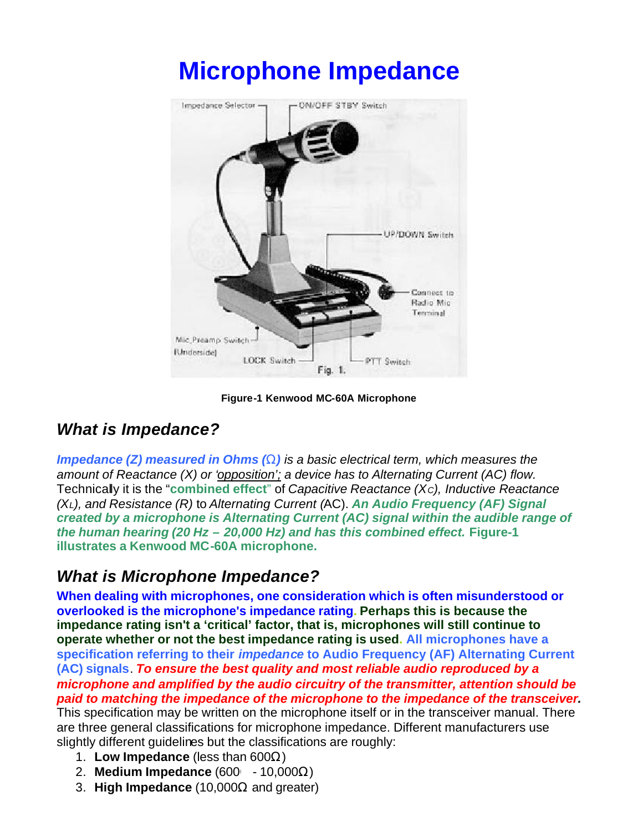## **Microphone Impedance**



**Figure-1 Kenwood MC-60A Microphone**

## *What is Impedance?*

*Impedance (Z) measured in Ohms (W) is a basic electrical term, which measures the amount of Reactance (X) or 'opposition'; a device has to Alternating Current (AC) flow.* Technically it is the "**combined effect**" of *Capacitive Reactance (XC), Inductive Reactance (XL), and Resistance (R)* to *Alternating Current (*AC). *An Audio Frequency (AF) Signal created by a microphone is Alternating Current (AC) signal within the audible range of the human hearing (20 Hz – 20,000 Hz) and has this combined effect.* **Figure-1 illustrates a Kenwood MC-60A microphone.**

## *What is Microphone Impedance?*

**When dealing with microphones, one consideration which is often misunderstood or overlooked is the microphone's impedance rating. Perhaps this is because the impedance rating isn't a 'critical' factor, that is, microphones will still continue to operate whether or not the best impedance rating is used. All microphones have a specification referring to their** *impedance* **to Audio Frequency (AF) Alternating Current (AC) signals**. *To ensure the best quality and most reliable audio reproduced by a microphone and amplified by the audio circuitry of the transmitter, attention should be paid to matching the impedance of the microphone to the impedance of the transceiver.* 

This specification may be written on the microphone itself or in the transceiver manual. There are three general classifications for microphone impedance. Different manufacturers use slightly different guidelines but the classifications are roughly:

- 1. **Low Impedance** (less than 600**W**)
- 2. **Medium Impedance** (600 10,000**W**)
- 3. **High Impedance** (10,000**W** and greater)